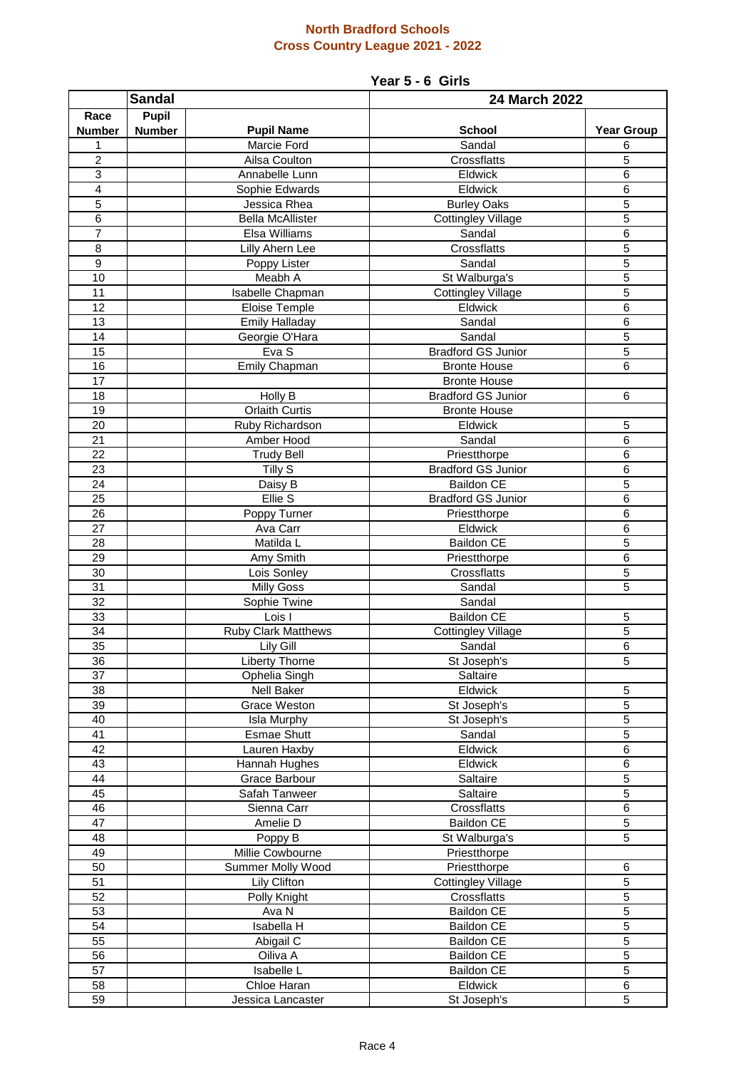## **North Bradford Schools Cross Country League 2021 - 2022**

## **Year 5 - 6 Girls**

| <b>Sandal</b>   |               |                                    | 24 March 2022                       |                     |  |
|-----------------|---------------|------------------------------------|-------------------------------------|---------------------|--|
| Race            | Pupil         |                                    |                                     |                     |  |
| <b>Number</b>   | <b>Number</b> | <b>Pupil Name</b>                  | School                              | <b>Year Group</b>   |  |
| 1               |               | Marcie Ford                        | Sandal                              | 6                   |  |
| $\overline{c}$  |               | Ailsa Coulton                      | Crossflatts                         | 5                   |  |
| 3               |               | Annabelle Lunn                     | Eldwick                             | 6                   |  |
| $\overline{4}$  |               | Sophie Edwards                     | Eldwick                             | $\overline{6}$      |  |
| 5               |               | Jessica Rhea                       | <b>Burley Oaks</b>                  | $\overline{5}$      |  |
| 6               |               | <b>Bella McAllister</b>            | <b>Cottingley Village</b>           | 5                   |  |
| $\overline{7}$  |               | Elsa Williams                      | Sandal                              | 6                   |  |
| $\overline{8}$  |               | <b>Lilly Ahern Lee</b>             | Crossflatts                         | $\overline{5}$      |  |
| 9               |               | Poppy Lister                       | Sandal                              | 5                   |  |
| 10              |               | Meabh A                            | St Walburga's                       | 5                   |  |
| 11              |               | Isabelle Chapman                   | <b>Cottingley Village</b>           | 5                   |  |
| 12              |               | Eloise Temple                      | Eldwick                             | $6\phantom{1}6$     |  |
| 13              |               | <b>Emily Halladay</b>              | Sandal                              | $6\phantom{1}6$     |  |
| 14              |               | Georgie O'Hara                     | Sandal                              | 5                   |  |
| 15              |               | Eva S                              | <b>Bradford GS Junior</b>           | 5                   |  |
| 16              |               | Emily Chapman                      | <b>Bronte House</b>                 | 6                   |  |
| 17              |               |                                    | <b>Bronte House</b>                 |                     |  |
| 18              |               | Holly B                            | <b>Bradford GS Junior</b>           | 6                   |  |
| 19              |               | <b>Orlaith Curtis</b>              | <b>Bronte House</b>                 |                     |  |
| 20              |               | Ruby Richardson                    | Eldwick                             | 5                   |  |
| 21              |               | Amber Hood                         | Sandal                              | $6\phantom{1}6$     |  |
| $\overline{22}$ |               | <b>Trudy Bell</b>                  | Priestthorpe                        | 6                   |  |
| $\overline{23}$ |               | Tilly S                            | <b>Bradford GS Junior</b>           | $\overline{6}$      |  |
| 24              |               | Daisy B                            | <b>Baildon CE</b>                   | 5                   |  |
| $\overline{25}$ |               | Ellie <sub>S</sub>                 | <b>Bradford GS Junior</b>           | $\overline{6}$      |  |
| $\overline{26}$ |               | Poppy Turner                       | Priestthorpe                        | $\overline{6}$      |  |
| 27              |               | Ava Carr                           | Eldwick                             | $6\phantom{1}6$     |  |
| 28              |               | Matilda L                          | <b>Baildon CE</b>                   | 5                   |  |
| 29              |               | Amy Smith                          | Priestthorpe                        | $6\phantom{1}6$     |  |
| 30              |               | Lois Sonley                        | Crossflatts                         | 5                   |  |
| 31              |               | <b>Milly Goss</b>                  | Sandal                              | 5                   |  |
| 32              |               | Sophie Twine                       | Sandal                              |                     |  |
| 33<br>34        |               | Lois I                             | <b>Baildon CE</b>                   | 5<br>$\overline{5}$ |  |
| 35              |               | <b>Ruby Clark Matthews</b>         | <b>Cottingley Village</b><br>Sandal | $\,6$               |  |
| 36              |               | Lily Gill<br><b>Liberty Thorne</b> | St Joseph's                         | $\overline{5}$      |  |
| 37              |               |                                    |                                     |                     |  |
| 38              |               | Ophelia Singh<br>Nell Baker        | Saltaire<br>Eldwick                 | 5                   |  |
| 39              |               | <b>Grace Weston</b>                | St Joseph's                         | $\overline{5}$      |  |
| 40              |               | Isla Murphy                        | St Joseph's                         | $\overline{5}$      |  |
| $\overline{41}$ |               | <b>Esmae Shutt</b>                 | Sandal                              | $\overline{5}$      |  |
| $\overline{42}$ |               | Lauren Haxby                       | Eldwick                             | $\,6$               |  |
| 43              |               | Hannah Hughes                      | Eldwick                             | 6                   |  |
| 44              |               | Grace Barbour                      | Saltaire                            | 5                   |  |
| 45              |               | Safah Tanweer                      | Saltaire                            | 5                   |  |
| 46              |               | Sienna Carr                        | Crossflatts                         | 6                   |  |
| 47              |               | Amelie D                           | <b>Baildon CE</b>                   | 5                   |  |
| 48              |               | Poppy B                            | St Walburga's                       | 5                   |  |
| 49              |               | Millie Cowbourne                   | Priestthorpe                        |                     |  |
| 50              |               | Summer Molly Wood                  | Priestthorpe                        | $\,6\,$             |  |
| 51              |               | Lily Clifton                       | <b>Cottingley Village</b>           | 5                   |  |
| 52              |               | Polly Knight                       | Crossflatts                         | 5                   |  |
| 53              |               | Ava N                              | <b>Baildon CE</b>                   | 5                   |  |
| 54              |               | Isabella H                         | <b>Baildon CE</b>                   | 5                   |  |
| 55              |               | Abigail C                          | Baildon CE                          | 5                   |  |
| 56              |               | Oiliva A                           | <b>Baildon CE</b>                   | 5                   |  |
| 57              |               | Isabelle L                         | <b>Baildon CE</b>                   | 5                   |  |
| 58              |               | Chloe Haran                        | Eldwick                             | $\,6\,$             |  |
| 59              |               | Jessica Lancaster                  | St Joseph's                         | 5                   |  |